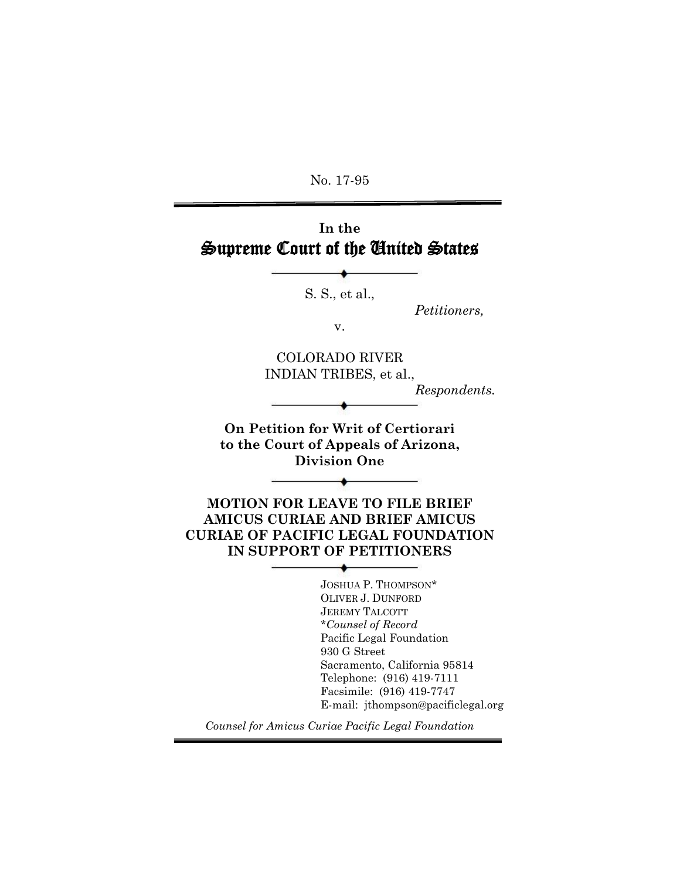No. 17-95

# **In the** Supreme Court of the United States

S. S., et al.,

*Petitioners,*

v.

COLORADO RIVER INDIAN TRIBES, et al.,

*Respondents.*

**On Petition for Writ of Certiorari to the Court of Appeals of Arizona, Division One**

 $\overline{\phantom{a}}$ 

**MOTION FOR LEAVE TO FILE BRIEF AMICUS CURIAE AND BRIEF AMICUS CURIAE OF PACIFIC LEGAL FOUNDATION IN SUPPORT OF PETITIONERS**

٠

JOSHUA P. THOMPSON\* OLIVER J. DUNFORD JEREMY TALCOTT \**Counsel of Record* Pacific Legal Foundation 930 G Street Sacramento, California 95814 Telephone: (916) 419-7111 Facsimile: (916) 419-7747 E-mail: jthompson@pacificlegal.org

*Counsel for Amicus Curiae Pacific Legal Foundation*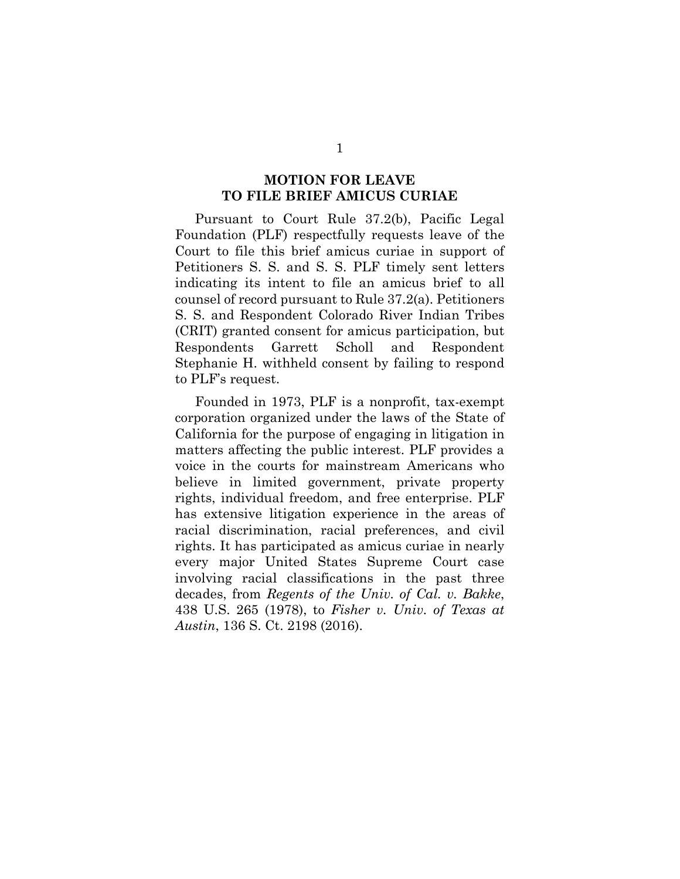#### **MOTION FOR LEAVE TO FILE BRIEF AMICUS CURIAE**

<span id="page-1-0"></span>Pursuant to Court Rule 37.2(b), Pacific Legal Foundation (PLF) respectfully requests leave of the Court to file this brief amicus curiae in support of Petitioners S. S. and S. S. PLF timely sent letters indicating its intent to file an amicus brief to all counsel of record pursuant to Rule 37.2(a). Petitioners S. S. and Respondent Colorado River Indian Tribes (CRIT) granted consent for amicus participation, but Respondents Garrett Scholl and Respondent Stephanie H. withheld consent by failing to respond to PLF's request.

Founded in 1973, PLF is a nonprofit, tax-exempt corporation organized under the laws of the State of California for the purpose of engaging in litigation in matters affecting the public interest. PLF provides a voice in the courts for mainstream Americans who believe in limited government, private property rights, individual freedom, and free enterprise. PLF has extensive litigation experience in the areas of racial discrimination, racial preferences, and civil rights. It has participated as amicus curiae in nearly every major United States Supreme Court case involving racial classifications in the past three decades, from *Regents of the Univ. of Cal. v. Bakke*, 438 U.S. 265 (1978), to *Fisher v. Univ. of Texas at Austin*, 136 S. Ct. 2198 (2016).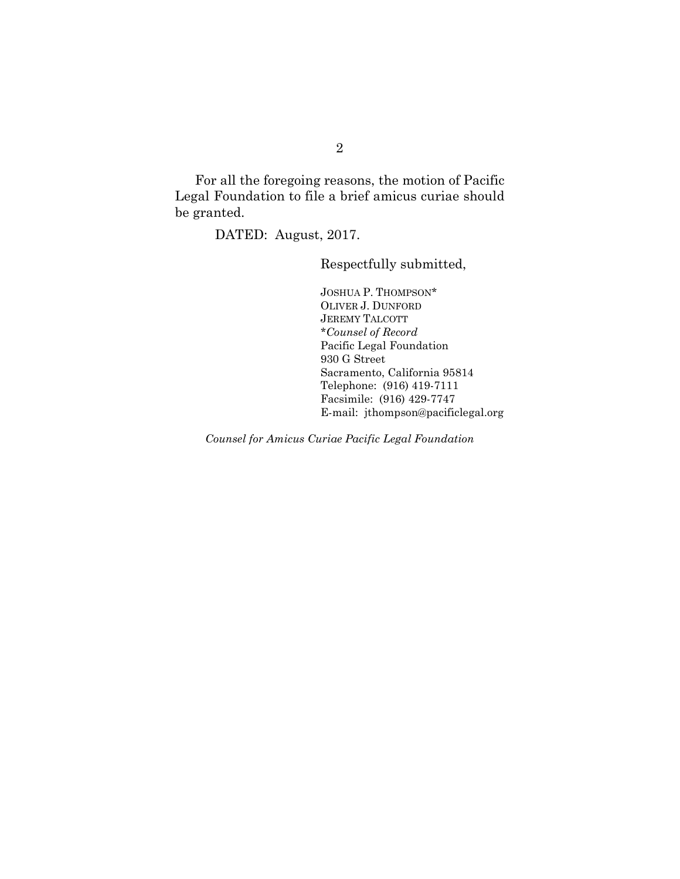For all the foregoing reasons, the motion of Pacific Legal Foundation to file a brief amicus curiae should be granted.

DATED: August, 2017.

Respectfully submitted,

JOSHUA P. THOMPSON\* OLIVER J. DUNFORD JEREMY TALCOTT \**Counsel of Record* Pacific Legal Foundation 930 G Street Sacramento, California 95814 Telephone: (916) 419-7111 Facsimile: (916) 429-7747 E-mail: jthompson@pacificlegal.org

*Counsel for Amicus Curiae Pacific Legal Foundation*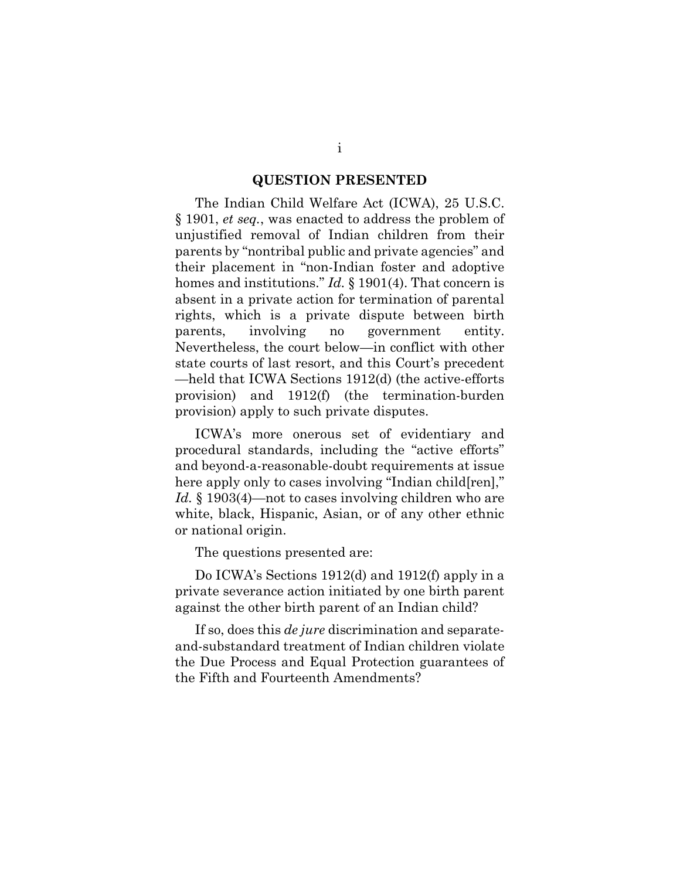#### **QUESTION PRESENTED**

<span id="page-3-0"></span>The Indian Child Welfare Act (ICWA), 25 U.S.C. § 1901, *et seq.*, was enacted to address the problem of unjustified removal of Indian children from their parents by "nontribal public and private agencies" and their placement in "non-Indian foster and adoptive homes and institutions." *Id.* § 1901(4). That concern is absent in a private action for termination of parental rights, which is a private dispute between birth parents, involving no government entity. Nevertheless, the court below—in conflict with other state courts of last resort, and this Court's precedent —held that ICWA Sections 1912(d) (the active-efforts provision) and 1912(f) (the termination-burden provision) apply to such private disputes.

ICWA's more onerous set of evidentiary and procedural standards, including the "active efforts" and beyond-a-reasonable-doubt requirements at issue here apply only to cases involving "Indian child[ren]," *Id.* § 1903(4)—not to cases involving children who are white, black, Hispanic, Asian, or of any other ethnic or national origin.

The questions presented are:

Do ICWA's Sections 1912(d) and 1912(f) apply in a private severance action initiated by one birth parent against the other birth parent of an Indian child?

If so, does this *de jure* discrimination and separateand-substandard treatment of Indian children violate the Due Process and Equal Protection guarantees of the Fifth and Fourteenth Amendments?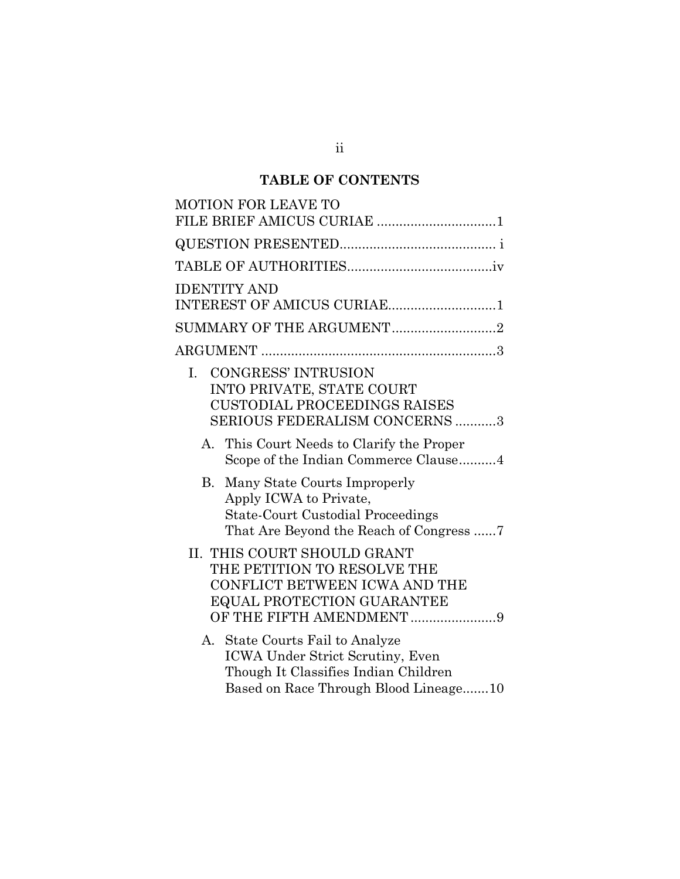# **TABLE OF CONTENTS**

| MOTION FOR LEAVE TO                                                                                                                                   |
|-------------------------------------------------------------------------------------------------------------------------------------------------------|
| FILE BRIEF AMICUS CURIAE 1                                                                                                                            |
|                                                                                                                                                       |
|                                                                                                                                                       |
| <b>IDENTITY AND</b>                                                                                                                                   |
| INTEREST OF AMICUS CURIAE1                                                                                                                            |
| SUMMARY OF THE ARGUMENT2                                                                                                                              |
|                                                                                                                                                       |
| <b>CONGRESS' INTRUSION</b><br>L.<br>INTO PRIVATE, STATE COURT<br><b>CUSTODIAL PROCEEDINGS RAISES</b><br><b>SERIOUS FEDERALISM CONCERNS 3</b>          |
| A. This Court Needs to Clarify the Proper<br>Scope of the Indian Commerce Clause4                                                                     |
| В.<br>Many State Courts Improperly<br>Apply ICWA to Private,<br><b>State-Court Custodial Proceedings</b><br>That Are Beyond the Reach of Congress     |
| II. THIS COURT SHOULD GRANT<br>THE PETITION TO RESOLVE THE<br>CONFLICT BETWEEN ICWA AND THE<br>EQUAL PROTECTION GUARANTEE<br>OF THE FIFTH AMENDMENT 9 |
| A. State Courts Fail to Analyze<br>ICWA Under Strict Scrutiny, Even<br>Though It Classifies Indian Children<br>Based on Race Through Blood Lineage10  |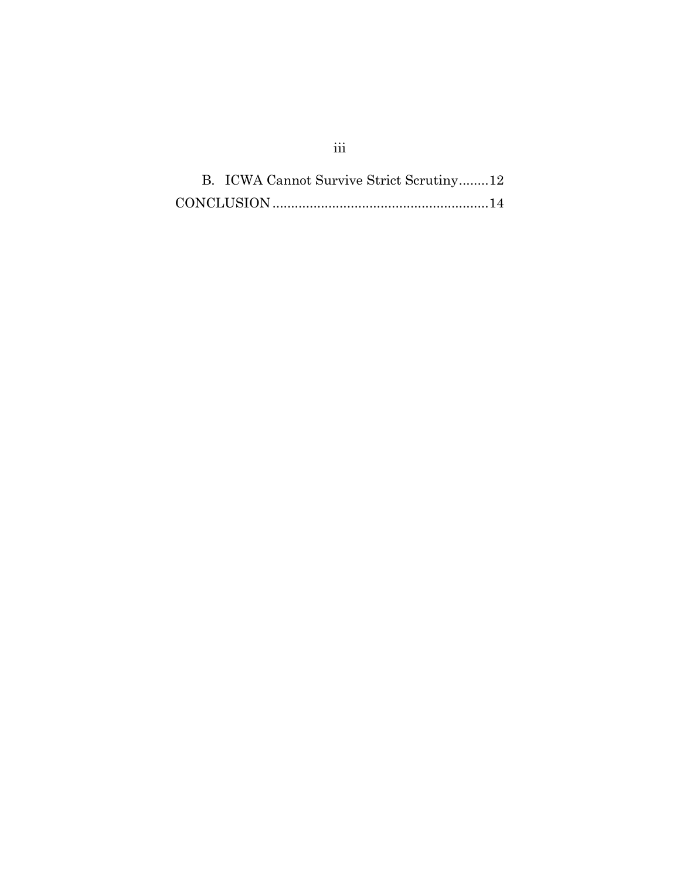<span id="page-5-0"></span>B. [ICWA Cannot Survive Strict Scrutiny........12](#page-21-0) CONCLUSION [..........................................................14](#page-23-0)

## iii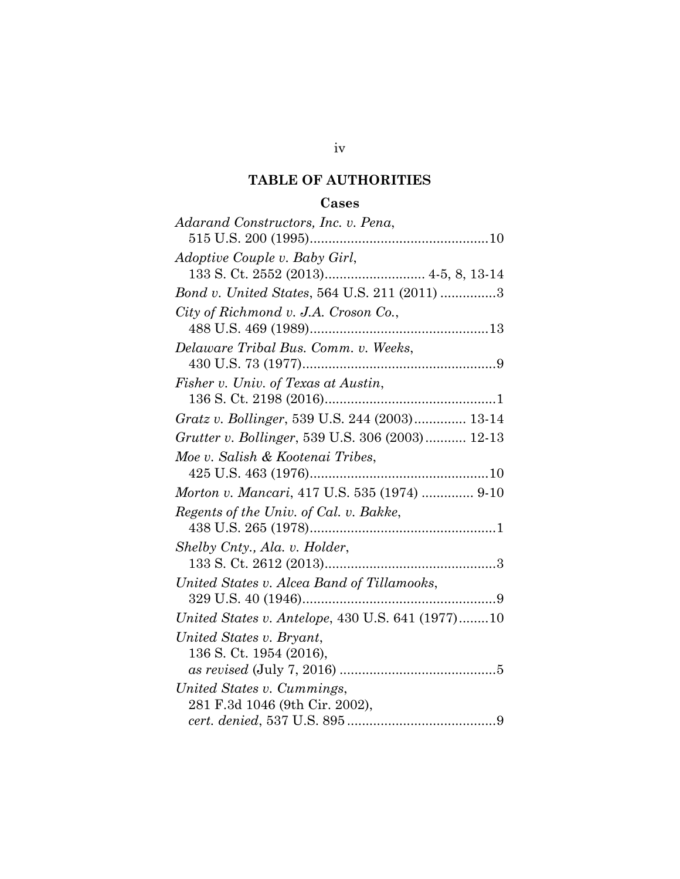## **TABLE OF AUTHORITIES**

## **Cases**

| Adarand Constructors, Inc. v. Pena,              |
|--------------------------------------------------|
|                                                  |
| <i>Adoptive Couple v. Baby Girl,</i>             |
|                                                  |
| Bond v. United States, 564 U.S. 211 (2011) 3     |
| City of Richmond v. J.A. Croson Co.,             |
|                                                  |
| Delaware Tribal Bus. Comm. v. Weeks,             |
|                                                  |
| Fisher v. Univ. of Texas at Austin,              |
|                                                  |
| Gratz v. Bollinger, 539 U.S. 244 (2003) 13-14    |
| Grutter v. Bollinger, 539 U.S. 306 (2003) 12-13  |
| Moe v. Salish & Kootenai Tribes,                 |
|                                                  |
| Morton v. Mancari, 417 U.S. 535 (1974)  9-10     |
| Regents of the Univ. of Cal. v. Bakke,           |
|                                                  |
| Shelby Cnty., Ala. v. Holder,                    |
|                                                  |
| United States v. Alcea Band of Tillamooks,       |
|                                                  |
| United States v. Antelope, 430 U.S. 641 (1977)10 |
| United States v. Bryant,                         |
| 136 S. Ct. 1954 (2016),                          |
|                                                  |
| United States v. Cummings,                       |
| 281 F.3d 1046 (9th Cir. 2002),                   |
|                                                  |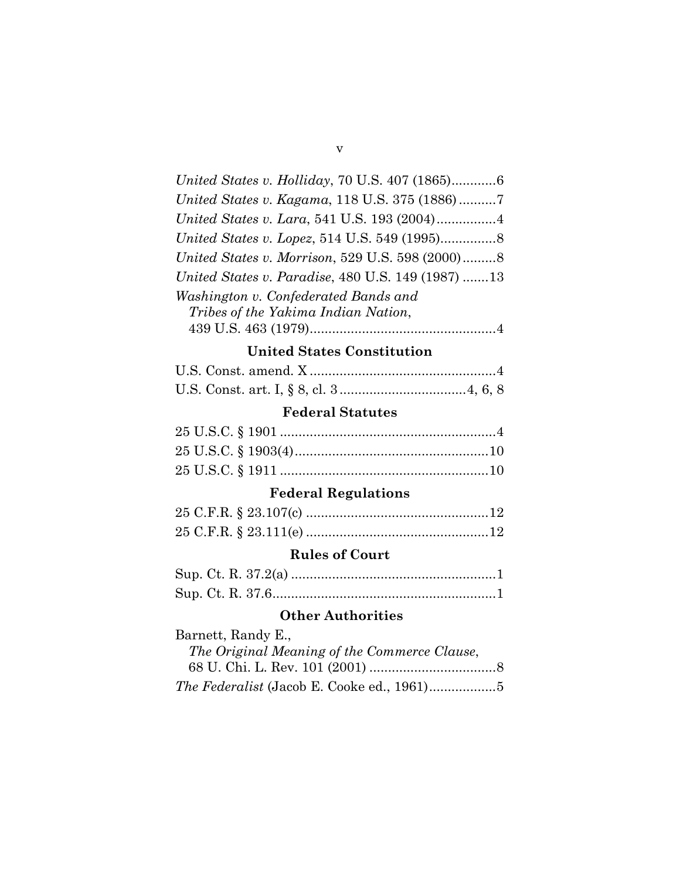| United States v. Holliday, 70 U.S. 407 (1865)6           |
|----------------------------------------------------------|
| United States v. Kagama, 118 U.S. 375 (1886)7            |
|                                                          |
|                                                          |
| United States v. Morrison, 529 U.S. 598 (2000)8          |
| <i>United States v. Paradise, 480 U.S. 149 (1987) 13</i> |
| Washington v. Confederated Bands and                     |
| Tribes of the Yakima Indian Nation,                      |
|                                                          |

# **United States Constitution**

# **Federal Statutes**

# **Federal Regulations**

### **Rules of Court**

# **Other Authorities**

| Barnett, Randy E.,                           |  |
|----------------------------------------------|--|
| The Original Meaning of the Commerce Clause, |  |
|                                              |  |
|                                              |  |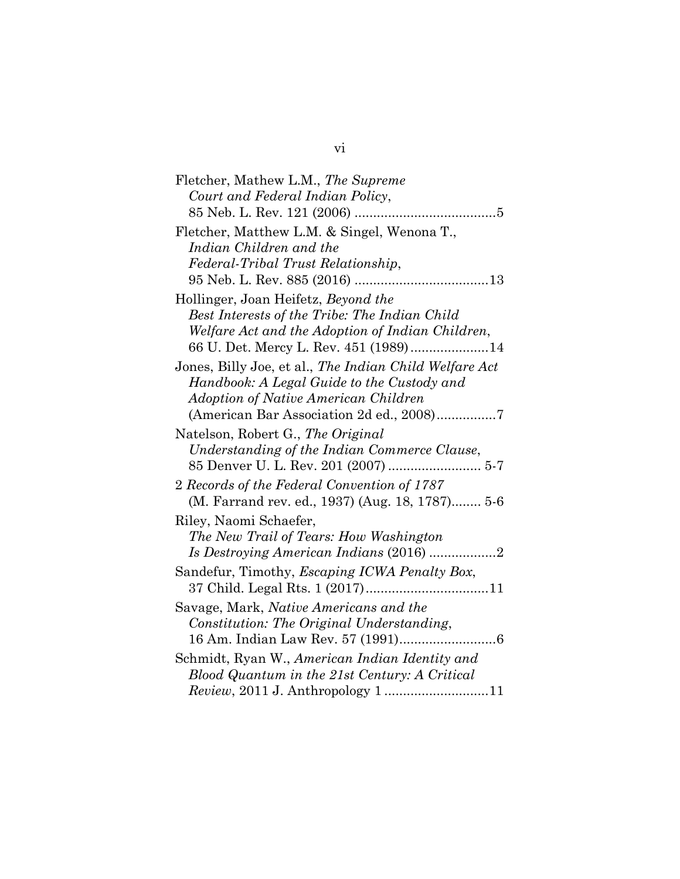| Fletcher, Mathew L.M., The Supreme                     |
|--------------------------------------------------------|
| Court and Federal Indian Policy,                       |
|                                                        |
| Fletcher, Matthew L.M. & Singel, Wenona T.,            |
| Indian Children and the                                |
| Federal-Tribal Trust Relationship,                     |
|                                                        |
| Hollinger, Joan Heifetz, Beyond the                    |
| Best Interests of the Tribe: The Indian Child          |
| Welfare Act and the Adoption of Indian Children,       |
| 66 U. Det. Mercy L. Rev. 451 (1989)14                  |
| Jones, Billy Joe, et al., The Indian Child Welfare Act |
| Handbook: A Legal Guide to the Custody and             |
| <b>Adoption of Native American Children</b>            |
| (American Bar Association 2d ed., 2008)7               |
| Natelson, Robert G., The Original                      |
| Understanding of the Indian Commerce Clause,           |
|                                                        |
| 2 Records of the Federal Convention of 1787            |
| (M. Farrand rev. ed., 1937) (Aug. 18, 1787) 5-6        |
| Riley, Naomi Schaefer,                                 |
| The New Trail of Tears: How Washington                 |
|                                                        |
| Sandefur, Timothy, Escaping ICWA Penalty Box,          |
|                                                        |
| Savage, Mark, Native Americans and the                 |
| Constitution: The Original Understanding,              |
|                                                        |
| Schmidt, Ryan W., American Indian Identity and         |
| Blood Quantum in the 21st Century: A Critical          |
| Review, 2011 J. Anthropology 1 11                      |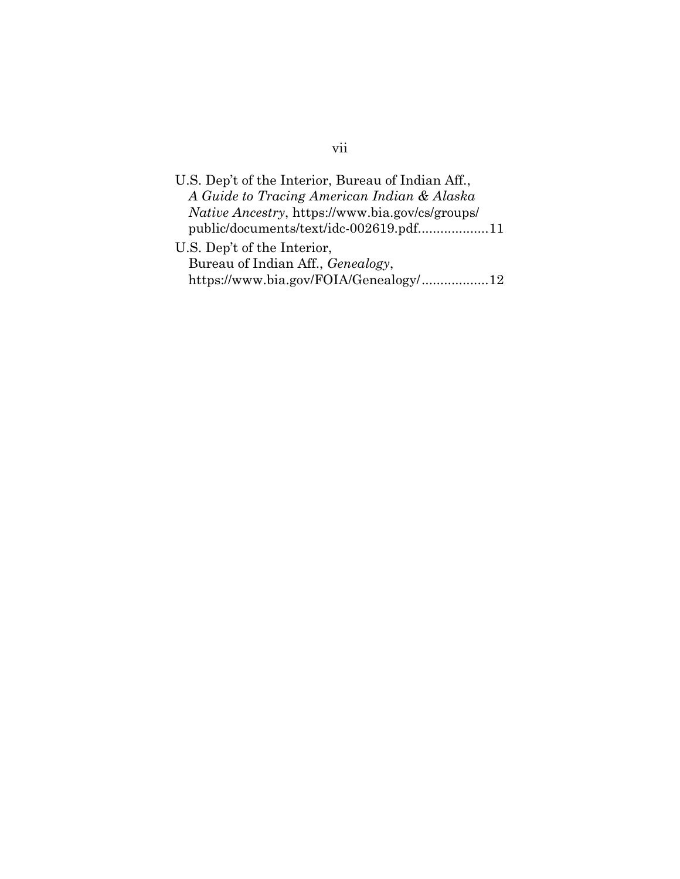# vii

| U.S. Dep't of the Interior, Bureau of Indian Aff.,     |  |
|--------------------------------------------------------|--|
| A Guide to Tracing American Indian & Alaska            |  |
| <i>Native Ancestry, https://www.bia.gov/cs/groups/</i> |  |
| public/documents/text/idc-002619.pdf11                 |  |
| U.S. Dep't of the Interior,                            |  |
| Bureau of Indian Aff., Genealogy,                      |  |
| https://www.bia.gov/FOIA/Genealogy/12                  |  |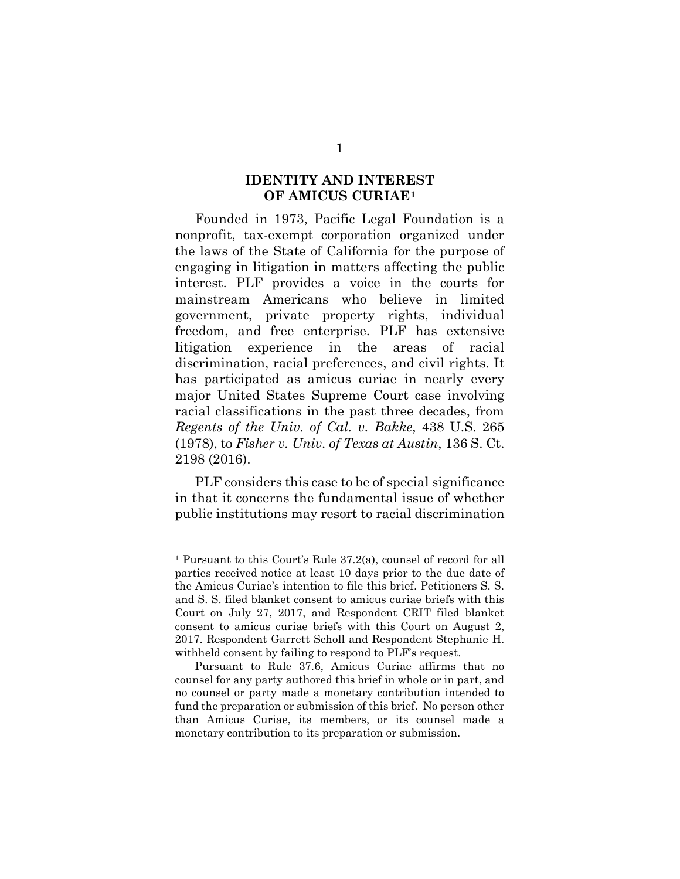#### **IDENTITY AND INTEREST OF AMICUS CURIAE[1](#page-10-1)**

<span id="page-10-0"></span>Founded in 1973, Pacific Legal Foundation is a nonprofit, tax-exempt corporation organized under the laws of the State of California for the purpose of engaging in litigation in matters affecting the public interest. PLF provides a voice in the courts for mainstream Americans who believe in limited government, private property rights, individual freedom, and free enterprise. PLF has extensive litigation experience in the areas of racial discrimination, racial preferences, and civil rights. It has participated as amicus curiae in nearly every major United States Supreme Court case involving racial classifications in the past three decades, from *Regents of the Univ. of Cal. v. Bakke*, 438 U.S. 265 (1978), to *Fisher v. Univ. of Texas at Austin*, 136 S. Ct. 2198 (2016).

PLF considers this case to be of special significance in that it concerns the fundamental issue of whether public institutions may resort to racial discrimination

<span id="page-10-1"></span><sup>1</sup> Pursuant to this Court's Rule 37.2(a), counsel of record for all parties received notice at least 10 days prior to the due date of the Amicus Curiae's intention to file this brief. Petitioners S. S. and S. S. filed blanket consent to amicus curiae briefs with this Court on July 27, 2017, and Respondent CRIT filed blanket consent to amicus curiae briefs with this Court on August 2, 2017. Respondent Garrett Scholl and Respondent Stephanie H. withheld consent by failing to respond to PLF's request.

Pursuant to Rule 37.6, Amicus Curiae affirms that no counsel for any party authored this brief in whole or in part, and no counsel or party made a monetary contribution intended to fund the preparation or submission of this brief. No person other than Amicus Curiae, its members, or its counsel made a monetary contribution to its preparation or submission.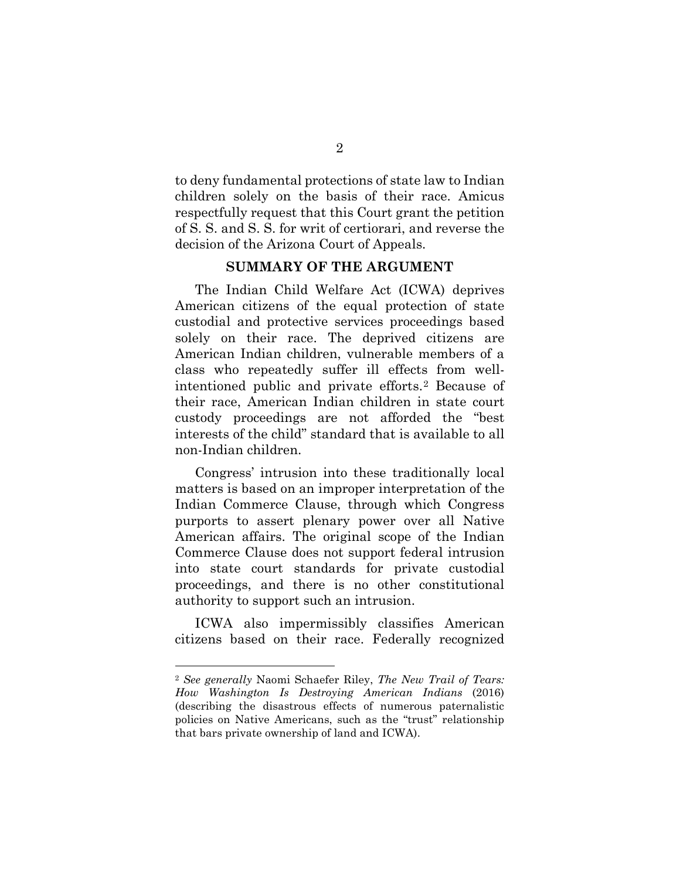to deny fundamental protections of state law to Indian children solely on the basis of their race. Amicus respectfully request that this Court grant the petition of S. S. and S. S. for writ of certiorari, and reverse the decision of the Arizona Court of Appeals.

#### **SUMMARY OF THE ARGUMENT**

<span id="page-11-0"></span>The Indian Child Welfare Act (ICWA) deprives American citizens of the equal protection of state custodial and protective services proceedings based solely on their race. The deprived citizens are American Indian children, vulnerable members of a class who repeatedly suffer ill effects from wellintentioned public and private efforts.[2](#page-11-1) Because of their race, American Indian children in state court custody proceedings are not afforded the "best interests of the child" standard that is available to all non-Indian children.

Congress' intrusion into these traditionally local matters is based on an improper interpretation of the Indian Commerce Clause, through which Congress purports to assert plenary power over all Native American affairs. The original scope of the Indian Commerce Clause does not support federal intrusion into state court standards for private custodial proceedings, and there is no other constitutional authority to support such an intrusion.

ICWA also impermissibly classifies American citizens based on their race. Federally recognized

<span id="page-11-1"></span><sup>2</sup> *See generally* Naomi Schaefer Riley, *The New Trail of Tears: How Washington Is Destroying American Indians* (2016) (describing the disastrous effects of numerous paternalistic policies on Native Americans, such as the "trust" relationship that bars private ownership of land and ICWA).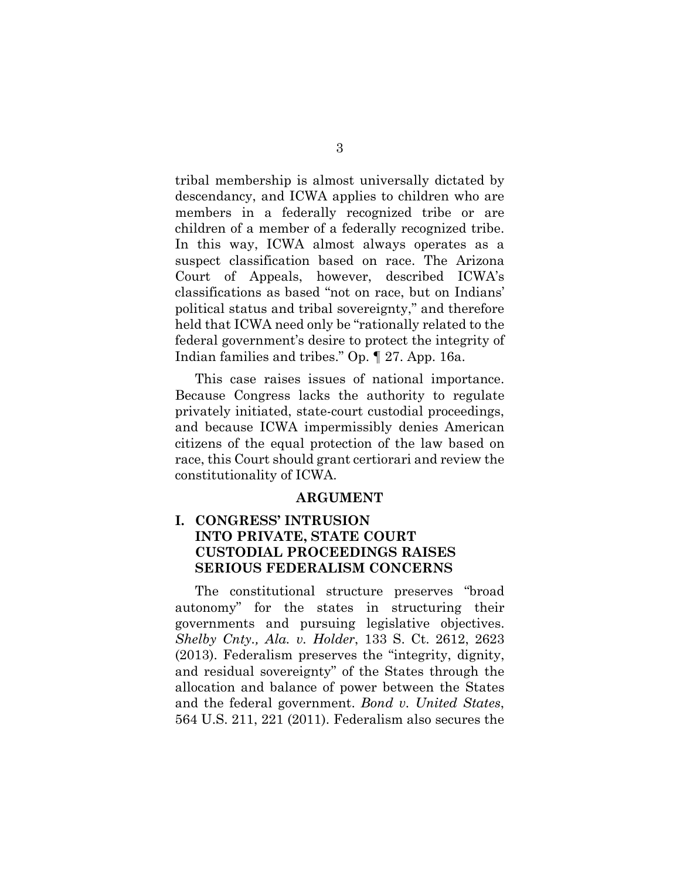tribal membership is almost universally dictated by descendancy, and ICWA applies to children who are members in a federally recognized tribe or are children of a member of a federally recognized tribe. In this way, ICWA almost always operates as a suspect classification based on race. The Arizona Court of Appeals, however, described ICWA's classifications as based "not on race, but on Indians' political status and tribal sovereignty," and therefore held that ICWA need only be "rationally related to the federal government's desire to protect the integrity of Indian families and tribes." Op. ¶ 27. App. 16a.

This case raises issues of national importance. Because Congress lacks the authority to regulate privately initiated, state-court custodial proceedings, and because ICWA impermissibly denies American citizens of the equal protection of the law based on race, this Court should grant certiorari and review the constitutionality of ICWA.

#### **ARGUMENT**

### <span id="page-12-1"></span><span id="page-12-0"></span>**I. CONGRESS' INTRUSION INTO PRIVATE, STATE COURT CUSTODIAL PROCEEDINGS RAISES SERIOUS FEDERALISM CONCERNS**

The constitutional structure preserves "broad autonomy" for the states in structuring their governments and pursuing legislative objectives. *Shelby Cnty., Ala. v. Holder*, 133 S. Ct. 2612, 2623 (2013). Federalism preserves the "integrity, dignity, and residual sovereignty" of the States through the allocation and balance of power between the States and the federal government. *Bond v. United States*, 564 U.S. 211, 221 (2011). Federalism also secures the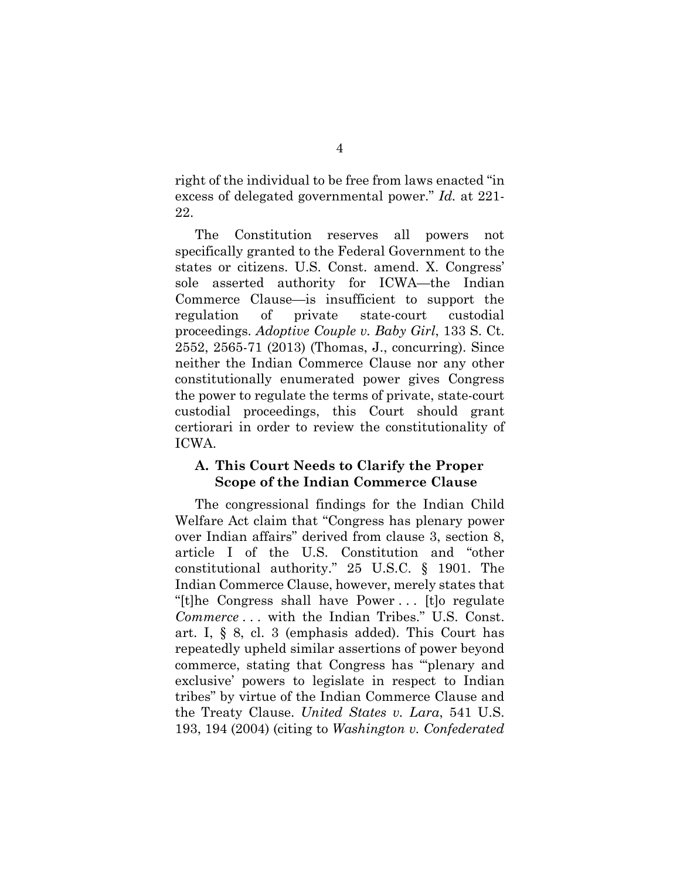right of the individual to be free from laws enacted "in excess of delegated governmental power." *Id.* at 221- 22.

The Constitution reserves all powers not specifically granted to the Federal Government to the states or citizens. U.S. Const. amend. X. Congress' sole asserted authority for ICWA—the Indian Commerce Clause—is insufficient to support the regulation of private state-court custodial proceedings. *Adoptive Couple v. Baby Girl*, 133 S. Ct. 2552, 2565-71 (2013) (Thomas, J., concurring). Since neither the Indian Commerce Clause nor any other constitutionally enumerated power gives Congress the power to regulate the terms of private, state-court custodial proceedings, this Court should grant certiorari in order to review the constitutionality of ICWA.

#### <span id="page-13-0"></span>**A. This Court Needs to Clarify the Proper Scope of the Indian Commerce Clause**

The congressional findings for the Indian Child Welfare Act claim that "Congress has plenary power over Indian affairs" derived from clause 3, section 8, article I of the U.S. Constitution and "other constitutional authority." 25 U.S.C. § 1901. The Indian Commerce Clause, however, merely states that "[t]he Congress shall have Power . . . [t]o regulate *Commerce* . . . with the Indian Tribes." U.S. Const. art. I, § 8, cl. 3 (emphasis added). This Court has repeatedly upheld similar assertions of power beyond commerce, stating that Congress has "'plenary and exclusive' powers to legislate in respect to Indian tribes" by virtue of the Indian Commerce Clause and the Treaty Clause. *United States v. Lara*, 541 U.S. 193, 194 (2004) (citing to *Washington v. Confederated*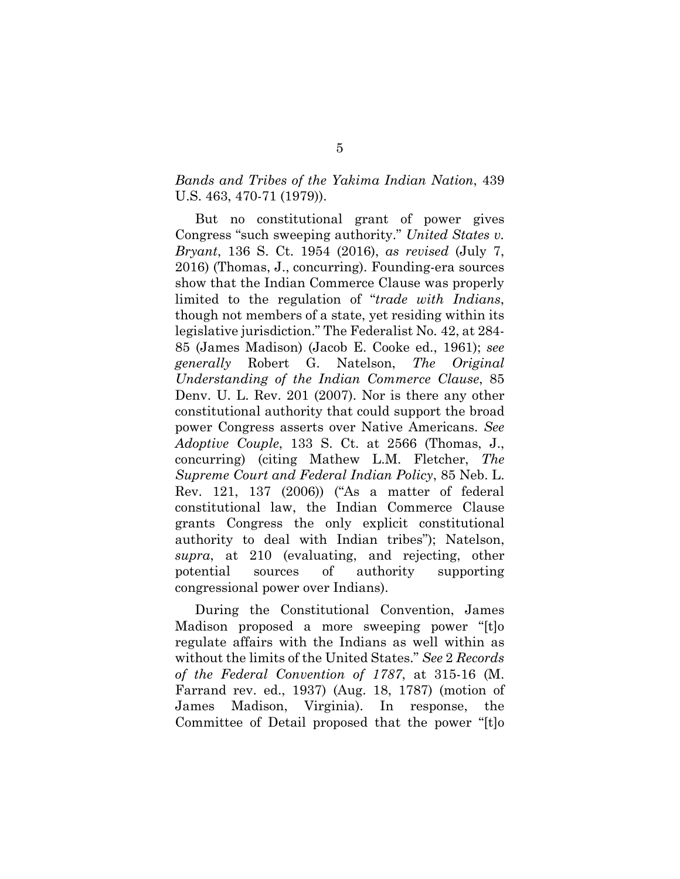#### *Bands and Tribes of the Yakima Indian Nation*, 439 U.S. 463, 470-71 (1979)).

But no constitutional grant of power gives Congress "such sweeping authority." *United States v. Bryant*, 136 S. Ct. 1954 (2016), *as revised* (July 7, 2016) (Thomas, J., concurring). Founding-era sources show that the Indian Commerce Clause was properly limited to the regulation of "*trade with Indians*, though not members of a state, yet residing within its legislative jurisdiction." The Federalist No. 42, at 284- 85 (James Madison) (Jacob E. Cooke ed., 1961); *see generally* Robert G. Natelson, *The Original Understanding of the Indian Commerce Clause*, 85 Denv. U. L. Rev. 201 (2007). Nor is there any other constitutional authority that could support the broad power Congress asserts over Native Americans. *See Adoptive Couple*, 133 S. Ct. at 2566 (Thomas, J., concurring) (citing Mathew L.M. Fletcher, *The Supreme Court and Federal Indian Policy*, 85 Neb. L. Rev. 121, 137 (2006)) ("As a matter of federal constitutional law, the Indian Commerce Clause grants Congress the only explicit constitutional authority to deal with Indian tribes"); Natelson, *supra*, at 210 (evaluating, and rejecting, other potential sources of authority supporting congressional power over Indians).

During the Constitutional Convention, James Madison proposed a more sweeping power "[t]o regulate affairs with the Indians as well within as without the limits of the United States." *See* 2 *Records of the Federal Convention of 1787*, at 315-16 (M. Farrand rev. ed., 1937) (Aug. 18, 1787) (motion of James Madison, Virginia). In response, the Committee of Detail proposed that the power "[t]o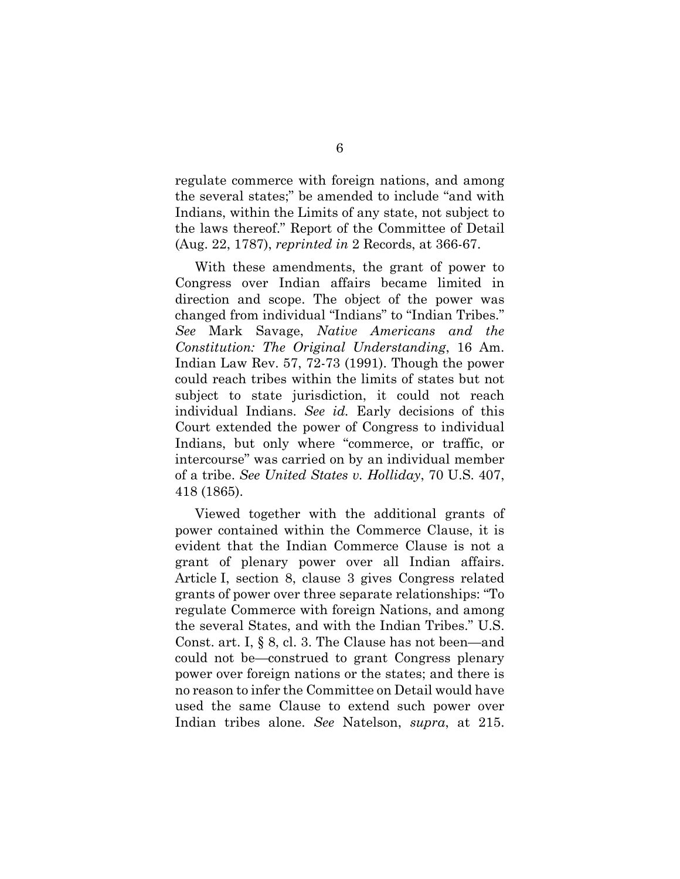regulate commerce with foreign nations, and among the several states;" be amended to include "and with Indians, within the Limits of any state, not subject to the laws thereof." Report of the Committee of Detail (Aug. 22, 1787), *reprinted in* 2 Records, at 366-67.

With these amendments, the grant of power to Congress over Indian affairs became limited in direction and scope. The object of the power was changed from individual "Indians" to "Indian Tribes." *See* Mark Savage, *Native Americans and the Constitution: The Original Understanding*, 16 Am. Indian Law Rev. 57, 72-73 (1991). Though the power could reach tribes within the limits of states but not subject to state jurisdiction, it could not reach individual Indians. *See id.* Early decisions of this Court extended the power of Congress to individual Indians, but only where "commerce, or traffic, or intercourse" was carried on by an individual member of a tribe. *See United States v. Holliday*, 70 U.S. 407, 418 (1865).

Viewed together with the additional grants of power contained within the Commerce Clause, it is evident that the Indian Commerce Clause is not a grant of plenary power over all Indian affairs. Article I, section 8, clause 3 gives Congress related grants of power over three separate relationships: "To regulate Commerce with foreign Nations, and among the several States, and with the Indian Tribes." U.S. Const. art. I, § 8, cl. 3. The Clause has not been—and could not be—construed to grant Congress plenary power over foreign nations or the states; and there is no reason to infer the Committee on Detail would have used the same Clause to extend such power over Indian tribes alone. *See* Natelson, *supra*, at 215.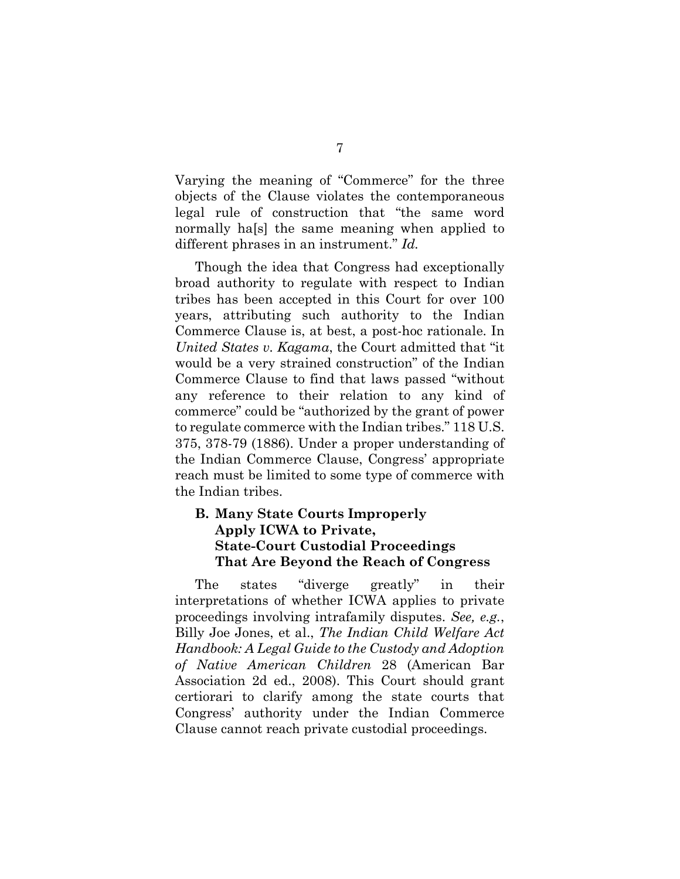Varying the meaning of "Commerce" for the three objects of the Clause violates the contemporaneous legal rule of construction that "the same word normally ha[s] the same meaning when applied to different phrases in an instrument." *Id.*

Though the idea that Congress had exceptionally broad authority to regulate with respect to Indian tribes has been accepted in this Court for over 100 years, attributing such authority to the Indian Commerce Clause is, at best, a post-hoc rationale. In *United States v. Kagama*, the Court admitted that "it would be a very strained construction" of the Indian Commerce Clause to find that laws passed "without any reference to their relation to any kind of commerce" could be "authorized by the grant of power to regulate commerce with the Indian tribes." 118 U.S. 375, 378-79 (1886). Under a proper understanding of the Indian Commerce Clause, Congress' appropriate reach must be limited to some type of commerce with the Indian tribes.

#### <span id="page-16-0"></span>**B. Many State Courts Improperly Apply ICWA to Private, State-Court Custodial Proceedings That Are Beyond the Reach of Congress**

The states "diverge greatly" in their interpretations of whether ICWA applies to private proceedings involving intrafamily disputes. *See, e.g.*, Billy Joe Jones, et al., *The Indian Child Welfare Act Handbook: A Legal Guide to the Custody and Adoption of Native American Children* 28 (American Bar Association 2d ed., 2008). This Court should grant certiorari to clarify among the state courts that Congress' authority under the Indian Commerce Clause cannot reach private custodial proceedings.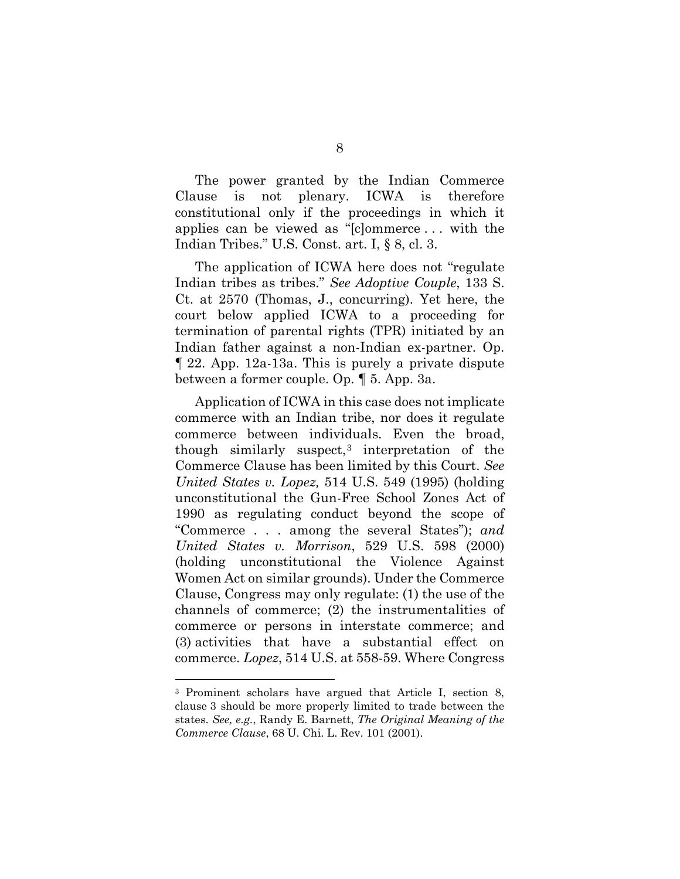The power granted by the Indian Commerce Clause is not plenary. ICWA is therefore constitutional only if the proceedings in which it applies can be viewed as "[c]ommerce . . . with the Indian Tribes." U.S. Const. art. I, § 8, cl. 3.

The application of ICWA here does not "regulate Indian tribes as tribes." *See Adoptive Couple*, 133 S. Ct. at 2570 (Thomas, J., concurring). Yet here, the court below applied ICWA to a proceeding for termination of parental rights (TPR) initiated by an Indian father against a non-Indian ex-partner. Op. ¶ 22. App. 12a-13a. This is purely a private dispute between a former couple. Op. ¶ 5. App. 3a.

Application of ICWA in this case does not implicate commerce with an Indian tribe, nor does it regulate commerce between individuals. Even the broad, though similarly suspect, $3$  interpretation of the Commerce Clause has been limited by this Court. *See United States v. Lopez,* 514 U.S. 549 (1995) (holding unconstitutional the Gun-Free School Zones Act of 1990 as regulating conduct beyond the scope of "Commerce . . . among the several States"); *and United States v. Morrison*, 529 U.S. 598 (2000) (holding unconstitutional the Violence Against Women Act on similar grounds). Under the Commerce Clause, Congress may only regulate: (1) the use of the channels of commerce; (2) the instrumentalities of commerce or persons in interstate commerce; and (3) activities that have a substantial effect on commerce. *Lopez*, 514 U.S. at 558-59. Where Congress

<span id="page-17-0"></span><sup>3</sup> Prominent scholars have argued that Article I, section 8, clause 3 should be more properly limited to trade between the states. *See, e.g.*, Randy E. Barnett, *The Original Meaning of the Commerce Clause*, 68 U. Chi. L. Rev. 101 (2001).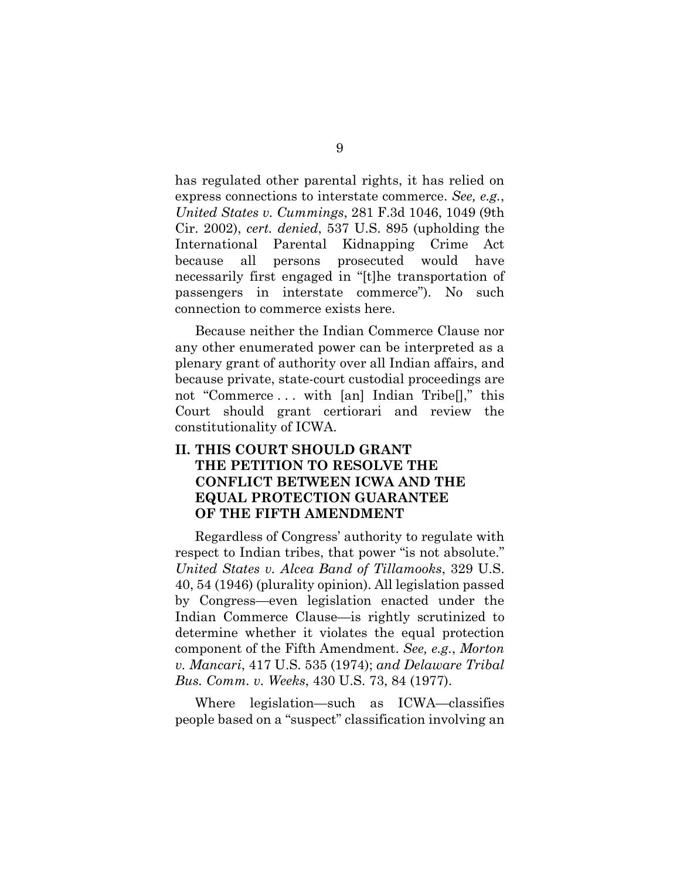has regulated other parental rights, it has relied on express connections to interstate commerce. *See, e.g.*, *United States v. Cummings*, 281 F.3d 1046, 1049 (9th Cir. 2002), *cert. denied*, 537 U.S. 895 (upholding the International Parental Kidnapping Crime Act because all persons prosecuted would have necessarily first engaged in "[t]he transportation of passengers in interstate commerce"). No such connection to commerce exists here.

Because neither the Indian Commerce Clause nor any other enumerated power can be interpreted as a plenary grant of authority over all Indian affairs, and because private, state-court custodial proceedings are not "Commerce ... with [an] Indian Tribe<sup>[]</sup>," this Court should grant certiorari and review the constitutionality of ICWA.

### <span id="page-18-0"></span>**II. THIS COURT SHOULD GRANT THE PETITION TO RESOLVE THE CONFLICT BETWEEN ICWA AND THE EQUAL PROTECTION GUARANTEE OF THE FIFTH AMENDMENT**

Regardless of Congress' authority to regulate with respect to Indian tribes, that power "is not absolute." *United States v. Alcea Band of Tillamooks*, 329 U.S. 40, 54 (1946) (plurality opinion). All legislation passed by Congress—even legislation enacted under the Indian Commerce Clause—is rightly scrutinized to determine whether it violates the equal protection component of the Fifth Amendment. *See, e.g.*, *Morton v. Mancari*, 417 U.S. 535 (1974); *and Delaware Tribal Bus. Comm. v. Weeks*, 430 U.S. 73, 84 (1977).

Where legislation—such as ICWA—classifies people based on a "suspect" classification involving an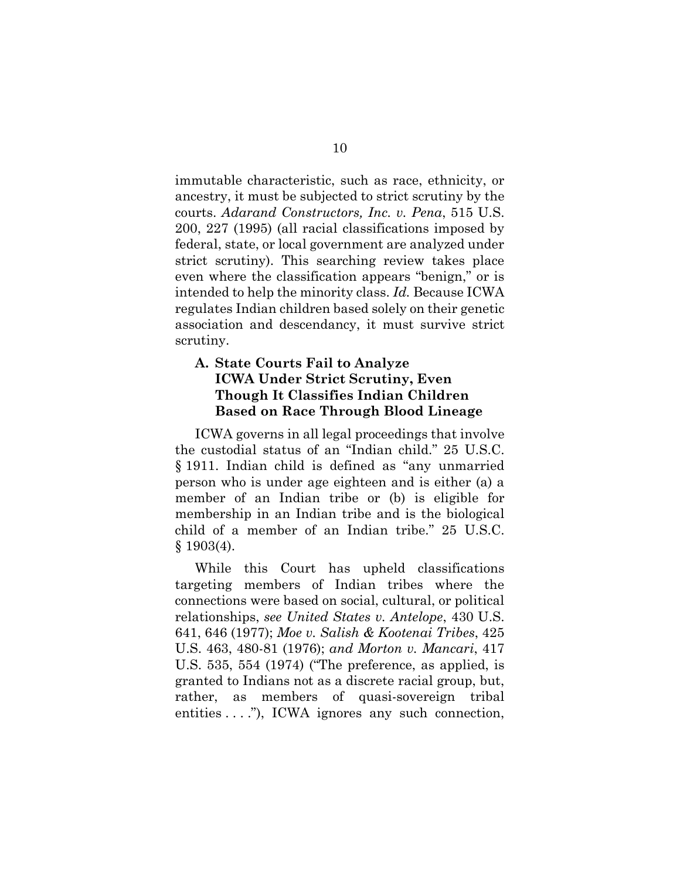immutable characteristic, such as race, ethnicity, or ancestry, it must be subjected to strict scrutiny by the courts. *Adarand Constructors, Inc. v. Pena*, 515 U.S. 200, 227 (1995) (all racial classifications imposed by federal, state, or local government are analyzed under strict scrutiny). This searching review takes place even where the classification appears "benign," or is intended to help the minority class. *Id.* Because ICWA regulates Indian children based solely on their genetic association and descendancy, it must survive strict scrutiny.

### <span id="page-19-0"></span>**A. State Courts Fail to Analyze ICWA Under Strict Scrutiny, Even Though It Classifies Indian Children Based on Race Through Blood Lineage**

ICWA governs in all legal proceedings that involve the custodial status of an "Indian child." 25 U.S.C. § 1911. Indian child is defined as "any unmarried person who is under age eighteen and is either (a) a member of an Indian tribe or (b) is eligible for membership in an Indian tribe and is the biological child of a member of an Indian tribe." 25 U.S.C. § 1903(4).

While this Court has upheld classifications targeting members of Indian tribes where the connections were based on social, cultural, or political relationships, *see United States v. Antelope*, 430 U.S. 641, 646 (1977); *Moe v. Salish & Kootenai Tribes*, 425 U.S. 463, 480-81 (1976); *and Morton v. Mancari*, 417 U.S. 535, 554 (1974) ("The preference, as applied, is granted to Indians not as a discrete racial group, but, rather, as members of quasi-sovereign tribal entities . . . ."), ICWA ignores any such connection,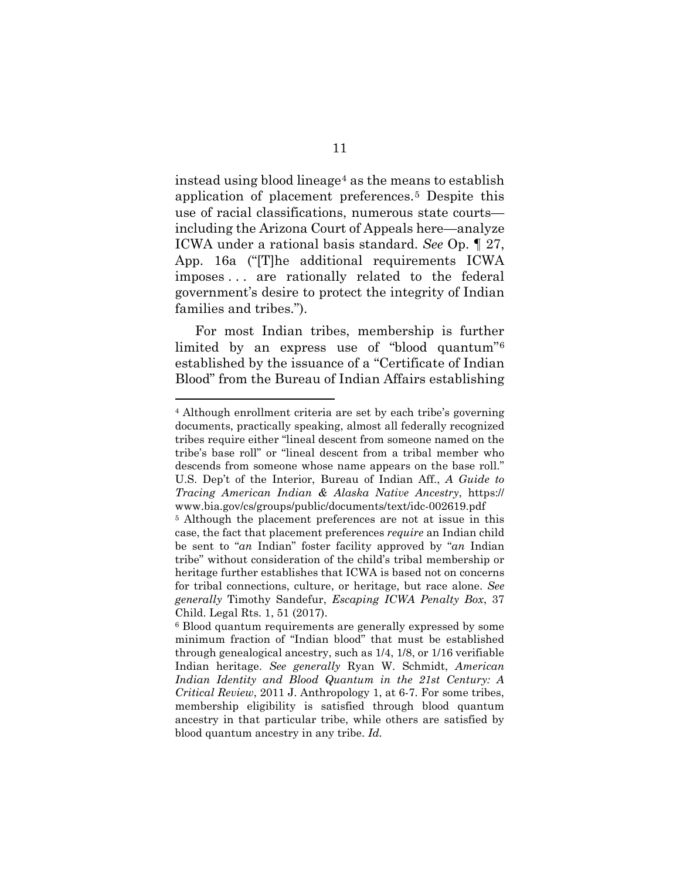instead using blood lineage[4](#page-20-0) as the means to establish application of placement preferences.[5](#page-20-1) Despite this use of racial classifications, numerous state courts including the Arizona Court of Appeals here—analyze ICWA under a rational basis standard. *See* Op. ¶ 27, App. 16a ("[T]he additional requirements ICWA imposes . . . are rationally related to the federal government's desire to protect the integrity of Indian families and tribes.").

For most Indian tribes, membership is further limited by an express use of "blood quantum"[6](#page-20-2) established by the issuance of a "Certificate of Indian Blood" from the Bureau of Indian Affairs establishing

<span id="page-20-0"></span><sup>4</sup> Although enrollment criteria are set by each tribe's governing documents, practically speaking, almost all federally recognized tribes require either "lineal descent from someone named on the tribe's base roll" or "lineal descent from a tribal member who descends from someone whose name appears on the base roll." U.S. Dep't of the Interior, Bureau of Indian Aff., *A Guide to Tracing American Indian & Alaska Native Ancestry*, https:// www.bia.gov/cs/groups/public/documents/text/idc-002619.pdf

<span id="page-20-1"></span><sup>5</sup> Although the placement preferences are not at issue in this case, the fact that placement preferences *require* an Indian child be sent to "*an* Indian" foster facility approved by "*an* Indian tribe" without consideration of the child's tribal membership or heritage further establishes that ICWA is based not on concerns for tribal connections, culture, or heritage, but race alone. *See generally* Timothy Sandefur, *Escaping ICWA Penalty Box*, 37 Child. Legal Rts. 1, 51 (2017).

<span id="page-20-2"></span><sup>6</sup> Blood quantum requirements are generally expressed by some minimum fraction of "Indian blood" that must be established through genealogical ancestry, such as 1/4, 1/8, or 1/16 verifiable Indian heritage. *See generally* Ryan W. Schmidt, *American Indian Identity and Blood Quantum in the 21st Century: A Critical Review*, 2011 J. Anthropology 1, at 6-7. For some tribes, membership eligibility is satisfied through blood quantum ancestry in that particular tribe, while others are satisfied by blood quantum ancestry in any tribe. *Id.*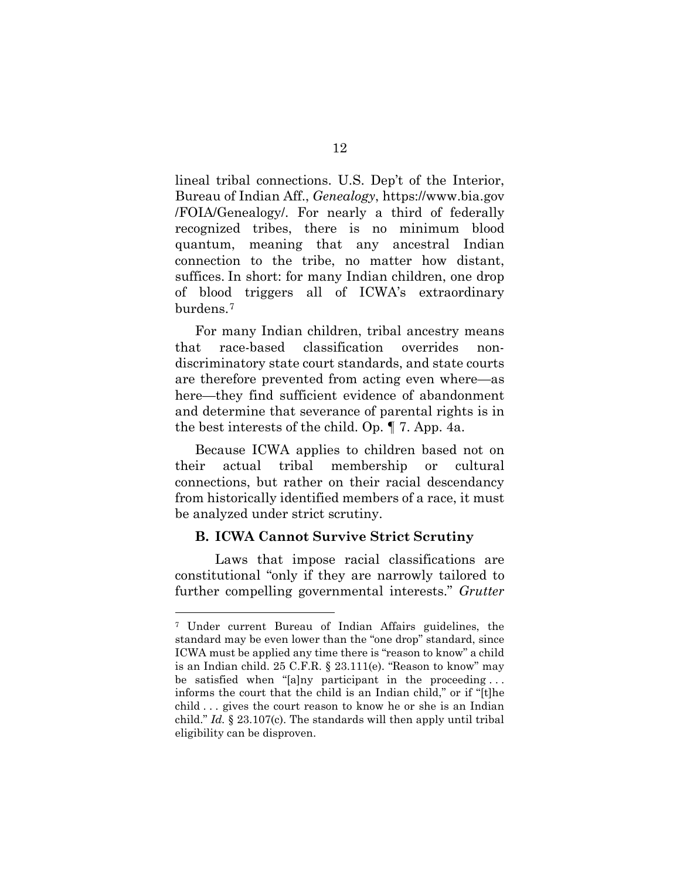lineal tribal connections. U.S. Dep't of the Interior, Bureau of Indian Aff., *Genealogy*, https://www.bia.gov /FOIA/Genealogy/. For nearly a third of federally recognized tribes, there is no minimum blood quantum, meaning that any ancestral Indian connection to the tribe, no matter how distant, suffices. In short: for many Indian children, one drop of blood triggers all of ICWA's extraordinary burdens.[7](#page-21-1)

For many Indian children, tribal ancestry means that race-based classification overrides nondiscriminatory state court standards, and state courts are therefore prevented from acting even where—as here—they find sufficient evidence of abandonment and determine that severance of parental rights is in the best interests of the child. Op. ¶ 7. App. 4a.

Because ICWA applies to children based not on their actual tribal membership or cultural connections, but rather on their racial descendancy from historically identified members of a race, it must be analyzed under strict scrutiny.

#### <span id="page-21-0"></span>**B. ICWA Cannot Survive Strict Scrutiny**

Laws that impose racial classifications are constitutional "only if they are narrowly tailored to further compelling governmental interests." *Grutter* 

<span id="page-21-1"></span><sup>7</sup> Under current Bureau of Indian Affairs guidelines, the standard may be even lower than the "one drop" standard, since ICWA must be applied any time there is "reason to know" a child is an Indian child. 25 C.F.R. § 23.111(e). "Reason to know" may be satisfied when "[a]ny participant in the proceeding ... informs the court that the child is an Indian child," or if "[t]he child . . . gives the court reason to know he or she is an Indian child." *Id.* § 23.107(c). The standards will then apply until tribal eligibility can be disproven.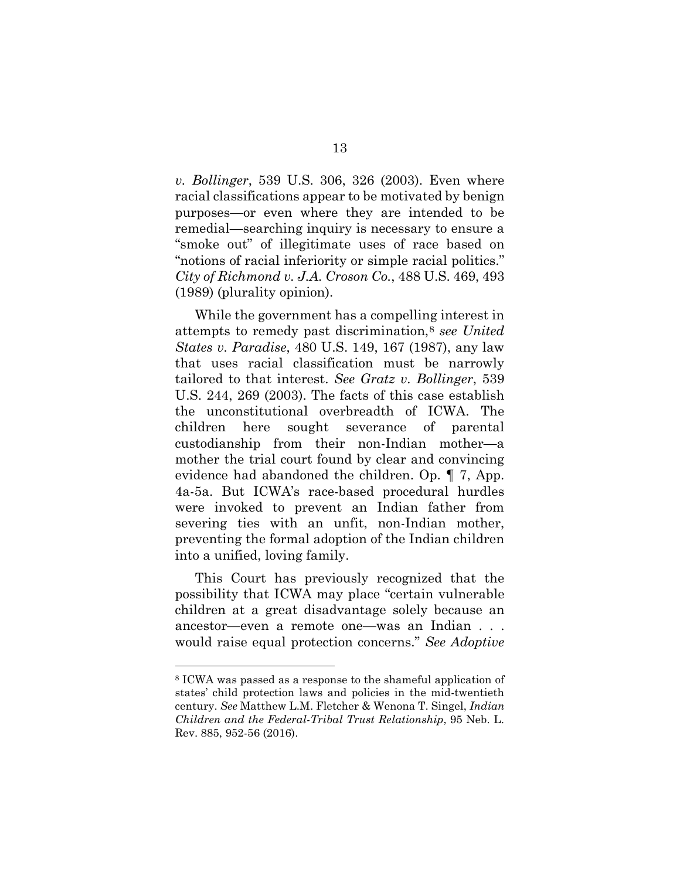*v. Bollinger*, 539 U.S. 306, 326 (2003). Even where racial classifications appear to be motivated by benign purposes—or even where they are intended to be remedial—searching inquiry is necessary to ensure a "smoke out" of illegitimate uses of race based on "notions of racial inferiority or simple racial politics." *City of Richmond v. J.A. Croson Co.*, 488 U.S. 469, 493 (1989) (plurality opinion).

While the government has a compelling interest in attempts to remedy past discrimination,[8](#page-22-0) *see United States v. Paradise*, 480 U.S. 149, 167 (1987), any law that uses racial classification must be narrowly tailored to that interest. *See Gratz v. Bollinger*, 539 U.S. 244, 269 (2003). The facts of this case establish the unconstitutional overbreadth of ICWA. The children here sought severance of parental custodianship from their non-Indian mother—a mother the trial court found by clear and convincing evidence had abandoned the children. Op. ¶ 7, App. 4a-5a. But ICWA's race-based procedural hurdles were invoked to prevent an Indian father from severing ties with an unfit, non-Indian mother, preventing the formal adoption of the Indian children into a unified, loving family.

This Court has previously recognized that the possibility that ICWA may place "certain vulnerable children at a great disadvantage solely because an ancestor—even a remote one—was an Indian . . . would raise equal protection concerns." *See Adoptive* 

<span id="page-22-0"></span><sup>8</sup> ICWA was passed as a response to the shameful application of states' child protection laws and policies in the mid-twentieth century. *See* Matthew L.M. Fletcher & Wenona T. Singel, *Indian Children and the Federal-Tribal Trust Relationship*, 95 Neb. L. Rev. 885, 952-56 (2016).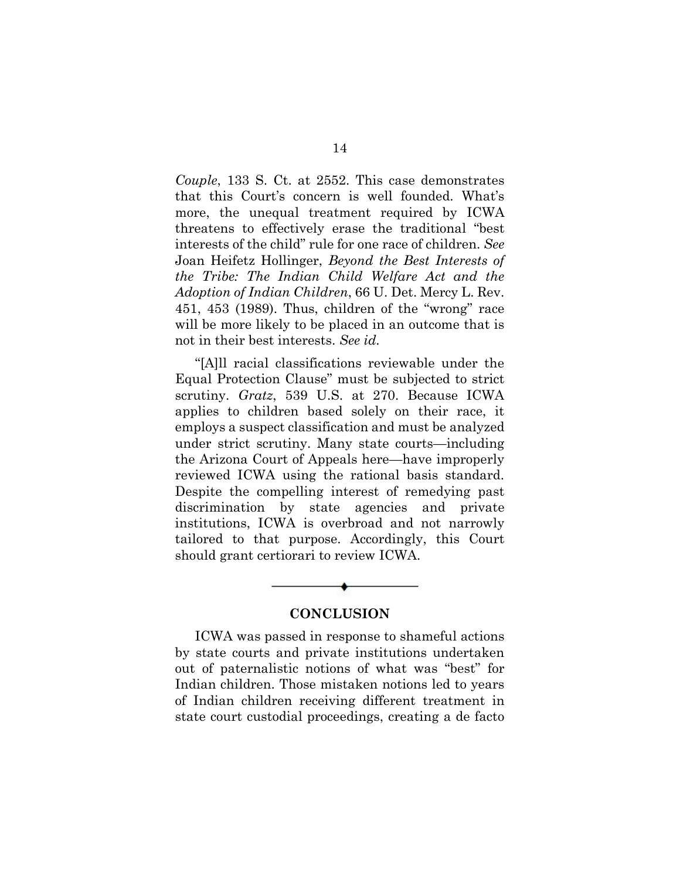*Couple*, 133 S. Ct. at 2552. This case demonstrates that this Court's concern is well founded. What's more, the unequal treatment required by ICWA threatens to effectively erase the traditional "best interests of the child" rule for one race of children. *See* Joan Heifetz Hollinger, *Beyond the Best Interests of the Tribe: The Indian Child Welfare Act and the Adoption of Indian Children*, 66 U. Det. Mercy L. Rev. 451, 453 (1989). Thus, children of the "wrong" race will be more likely to be placed in an outcome that is not in their best interests. *See id.*

"[A]ll racial classifications reviewable under the Equal Protection Clause" must be subjected to strict scrutiny. *Gratz*, 539 U.S. at 270. Because ICWA applies to children based solely on their race, it employs a suspect classification and must be analyzed under strict scrutiny. Many state courts—including the Arizona Court of Appeals here—have improperly reviewed ICWA using the rational basis standard. Despite the compelling interest of remedying past discrimination by state agencies and private institutions, ICWA is overbroad and not narrowly tailored to that purpose. Accordingly, this Court should grant certiorari to review ICWA.

#### **CONCLUSION**

<span id="page-23-0"></span>ICWA was passed in response to shameful actions by state courts and private institutions undertaken out of paternalistic notions of what was "best" for Indian children. Those mistaken notions led to years of Indian children receiving different treatment in state court custodial proceedings, creating a de facto